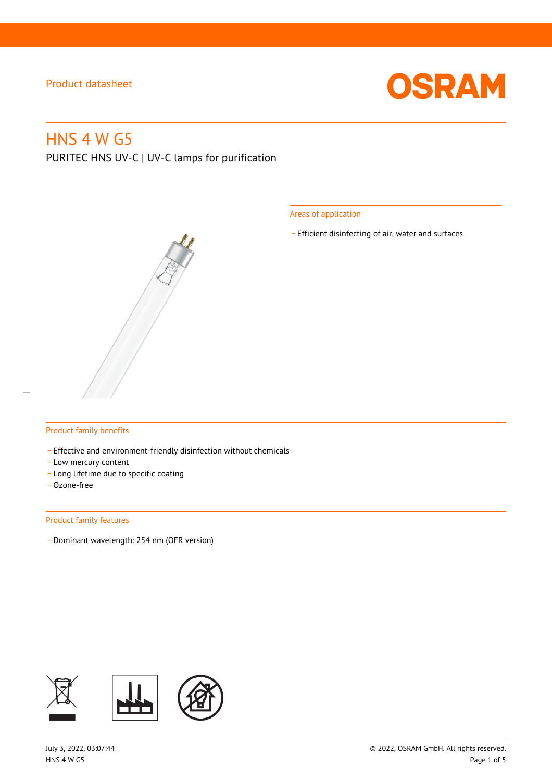

# HNS 4 W G5

PURITEC HNS UV-C | UV-C lamps for purification

Areas of application

\_ Efficient disinfecting of air, water and surfaces

### Product family benefits

- Effective and environment-friendly disinfection without chemicals
- Low mercury content
- \_ Long lifetime due to specific coating
- \_ Ozone-free

#### Product family features

\_ Dominant wavelength: 254 nm (OFR version)

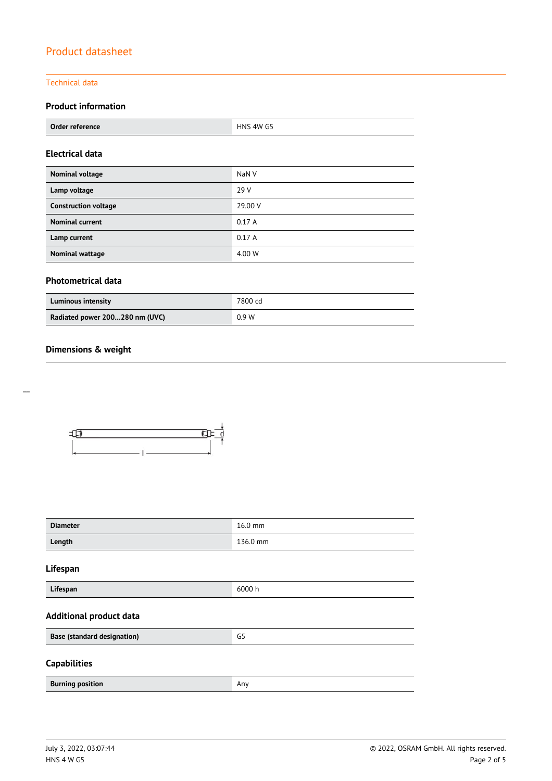## Technical data

# **Product information**

| Order reference | HNS 4W G5 |
|-----------------|-----------|
|                 |           |

### **Electrical data**

| Nominal voltage             | NaN <sub>V</sub> |
|-----------------------------|------------------|
| Lamp voltage                | 29 V             |
| <b>Construction voltage</b> | 29.00 V          |
| <b>Nominal current</b>      | 0.17A            |
| Lamp current                | 0.17A            |
| <b>Nominal wattage</b>      | 4.00 W           |

### **Photometrical data**

| <b>Luminous intensity</b>      | 7800 cd |
|--------------------------------|---------|
| Radiated power 200280 nm (UVC) | 0.9W    |

## **Dimensions & weight**

 $\overline{a}$ 



| <b>Diameter</b>                    | 16.0 mm  |  |  |
|------------------------------------|----------|--|--|
| Length                             | 136.0 mm |  |  |
| Lifespan                           |          |  |  |
| Lifespan                           | 6000h    |  |  |
| <b>Additional product data</b>     |          |  |  |
| <b>Base (standard designation)</b> | G5       |  |  |
| <b>Capabilities</b>                |          |  |  |
| <b>Burning position</b>            | Any      |  |  |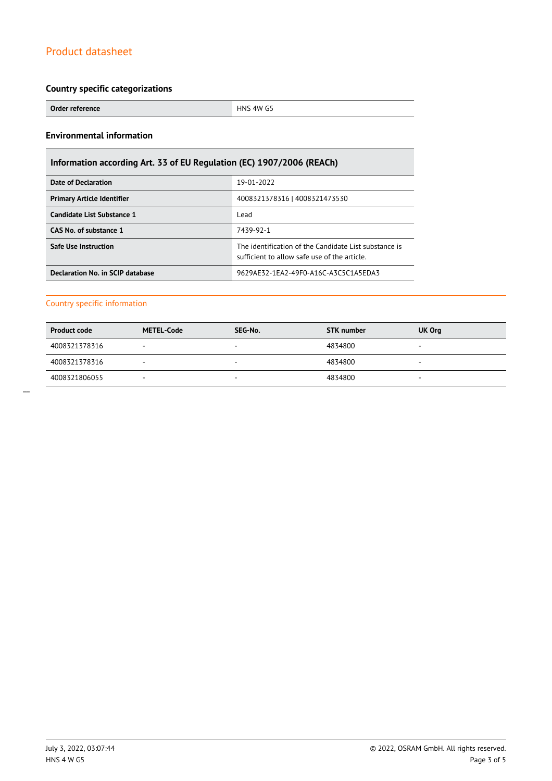### **Country specific categorizations**

**Order reference HNS 4W G5** 

## **Environmental information**

# **Information according Art. 33 of EU Regulation (EC) 1907/2006 (REACh)**

| Date of Declaration               | 19-01-2022                                                                                           |  |  |
|-----------------------------------|------------------------------------------------------------------------------------------------------|--|--|
| <b>Primary Article Identifier</b> | 4008321378316   4008321473530                                                                        |  |  |
| Candidate List Substance 1        | Lead                                                                                                 |  |  |
| CAS No. of substance 1            | 7439-92-1                                                                                            |  |  |
| <b>Safe Use Instruction</b>       | The identification of the Candidate List substance is<br>sufficient to allow safe use of the article |  |  |
| Declaration No. in SCIP database  | 9629AE32-1EA2-49F0-A16C-A3C5C1A5EDA3                                                                 |  |  |

### Country specific information

| <b>Product code</b> | <b>METEL-Code</b>        | SEG-No. | <b>STK number</b> | UK Org |
|---------------------|--------------------------|---------|-------------------|--------|
| 4008321378316       | ۰                        | $\sim$  | 4834800           |        |
| 4008321378316       |                          | -       | 4834800           | -      |
| 4008321806055       | $\overline{\phantom{a}}$ | $\sim$  | 4834800           |        |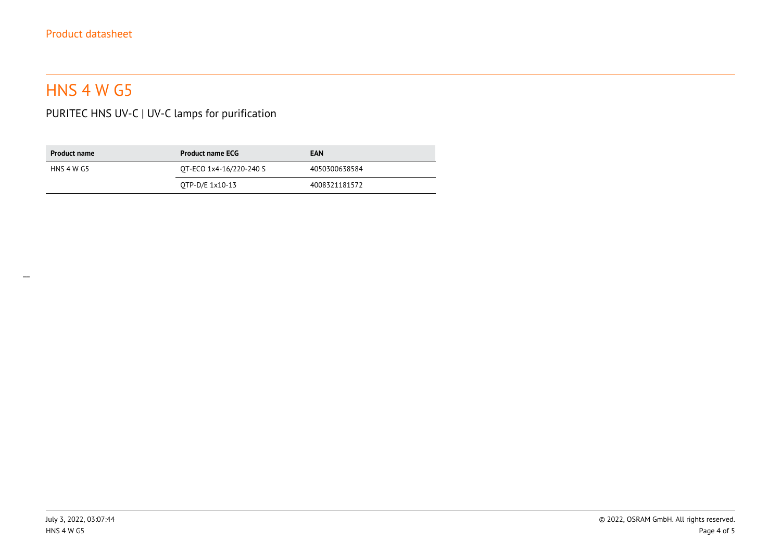# HNS 4 W G5

PURITEC HNS UV-C | UV-C lamps for purification

| <b>Product name</b> | <b>Product name ECG</b> | <b>EAN</b>    |
|---------------------|-------------------------|---------------|
| HNS 4 W G5          | OT-ECO 1x4-16/220-240 S | 4050300638584 |
|                     | OTP-D/E 1x10-13         | 4008321181572 |